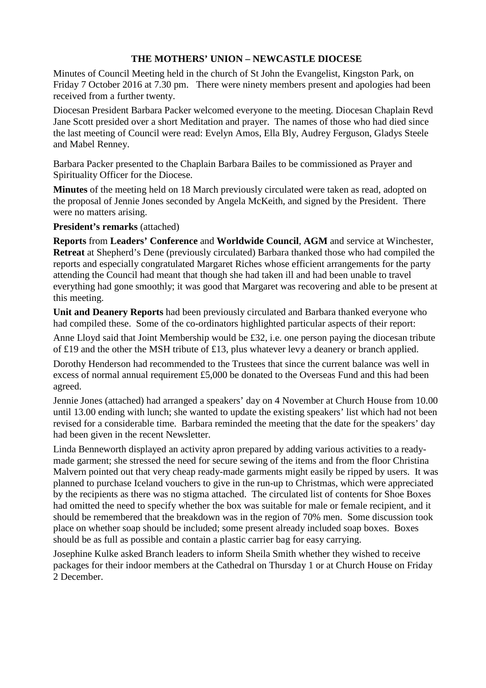## **THE MOTHERS' UNION – NEWCASTLE DIOCESE**

Minutes of Council Meeting held in the church of St John the Evangelist, Kingston Park, on Friday 7 October 2016 at 7.30 pm. There were ninety members present and apologies had been received from a further twenty.

Diocesan President Barbara Packer welcomed everyone to the meeting. Diocesan Chaplain Revd Jane Scott presided over a short Meditation and prayer. The names of those who had died since the last meeting of Council were read: Evelyn Amos, Ella Bly, Audrey Ferguson, Gladys Steele and Mabel Renney.

Barbara Packer presented to the Chaplain Barbara Bailes to be commissioned as Prayer and Spirituality Officer for the Diocese.

**Minutes** of the meeting held on 18 March previously circulated were taken as read, adopted on the proposal of Jennie Jones seconded by Angela McKeith, and signed by the President. There were no matters arising.

**President's remarks** (attached)

**Reports** from **Leaders' Conference** and **Worldwide Council**, **AGM** and service at Winchester, **Retreat** at Shepherd's Dene (previously circulated) Barbara thanked those who had compiled the reports and especially congratulated Margaret Riches whose efficient arrangements for the party attending the Council had meant that though she had taken ill and had been unable to travel everything had gone smoothly; it was good that Margaret was recovering and able to be present at this meeting.

**Unit and Deanery Reports** had been previously circulated and Barbara thanked everyone who had compiled these. Some of the co-ordinators highlighted particular aspects of their report:

Anne Lloyd said that Joint Membership would be £32, i.e. one person paying the diocesan tribute of £19 and the other the MSH tribute of £13, plus whatever levy a deanery or branch applied.

Dorothy Henderson had recommended to the Trustees that since the current balance was well in excess of normal annual requirement £5,000 be donated to the Overseas Fund and this had been agreed.

Jennie Jones (attached) had arranged a speakers' day on 4 November at Church House from 10.00 until 13.00 ending with lunch; she wanted to update the existing speakers' list which had not been revised for a considerable time. Barbara reminded the meeting that the date for the speakers' day had been given in the recent Newsletter.

Linda Benneworth displayed an activity apron prepared by adding various activities to a readymade garment; she stressed the need for secure sewing of the items and from the floor Christina Malvern pointed out that very cheap ready-made garments might easily be ripped by users. It was planned to purchase Iceland vouchers to give in the run-up to Christmas, which were appreciated by the recipients as there was no stigma attached. The circulated list of contents for Shoe Boxes had omitted the need to specify whether the box was suitable for male or female recipient, and it should be remembered that the breakdown was in the region of 70% men. Some discussion took place on whether soap should be included; some present already included soap boxes. Boxes should be as full as possible and contain a plastic carrier bag for easy carrying.

Josephine Kulke asked Branch leaders to inform Sheila Smith whether they wished to receive packages for their indoor members at the Cathedral on Thursday 1 or at Church House on Friday 2 December.